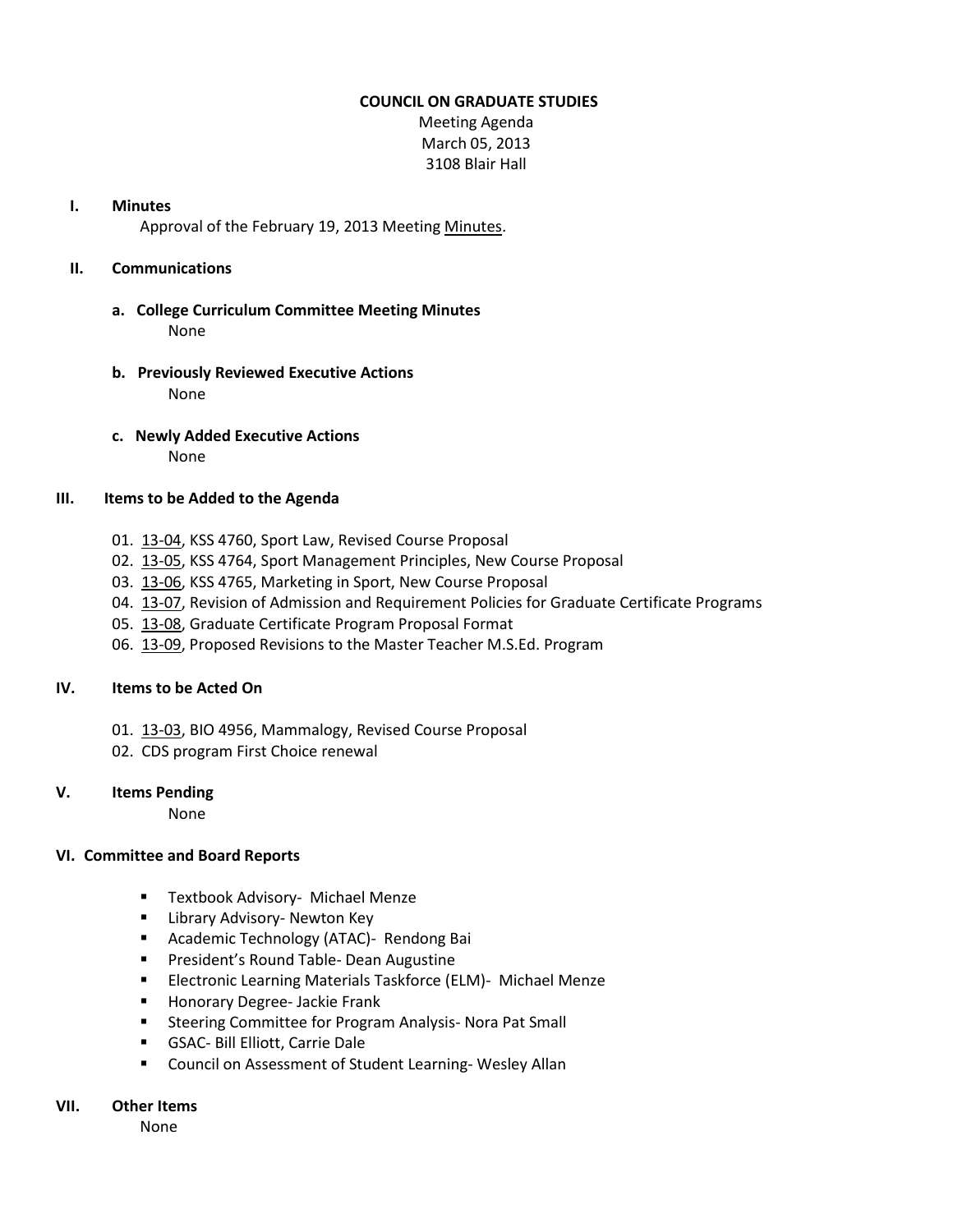#### **COUNCIL ON GRADUATE STUDIES**

Meeting Agenda March 05, 2013 3108 Blair Hall

#### **I. Minutes**

Approval of the February 19, 2013 Meetin[g Minutes.](http://castle.eiu.edu/eiucgs/currentminutes/Minutes02-19-13.pdf)

# **II. Communications**

- **a. College Curriculum Committee Meeting Minutes** None
- **b. Previously Reviewed Executive Actions** None
- **c. Newly Added Executive Actions** None

#### **III. Items to be Added to the Agenda**

- 01. [13-04,](http://castle.eiu.edu/~eiucgs/currentagendaitems/agenda13-04.pdf) KSS 4760, Sport Law, Revised Course Proposal
- 02. [13-05,](http://castle.eiu.edu/~eiucgs/currentagendaitems/agenda13-05.pdf) KSS 4764, Sport Management Principles, New Course Proposal
- 03. [13-06,](http://castle.eiu.edu/~eiucgs/currentagendaitems/agenda13-06.pdf) KSS 4765, Marketing in Sport, New Course Proposal
- 04. [13-07,](http://castle.eiu.edu/~eiucgs/currentagendaitems/agenda13-07.pdf) Revision of Admission and Requirement Policies for Graduate Certificate Programs
- 05. [13-08,](http://castle.eiu.edu/~eiucgs/currentagendaitems/agenda13-08.pdf) Graduate Certificate Program Proposal Format
- 06. [13-09,](http://castle.eiu.edu/~eiucgs/currentagendaitems/agenda13-09.pdf) Proposed Revisions to the Master Teacher M.S.Ed. Program

# **IV. Items to be Acted On**

- 01. [13-03,](http://castle.eiu.edu/~eiucgs/currentagendaitems/agenda13-03.pdf) BIO 4956, Mammalogy, Revised Course Proposal
- 02. CDS program First Choice renewal

# **V. Items Pending**

None

# **VI. Committee and Board Reports**

- **Textbook Advisory- Michael Menze**
- **E** Library Advisory- Newton Key
- **Academic Technology (ATAC)- Rendong Bai**
- **President's Round Table- Dean Augustine**
- **Electronic Learning Materials Taskforce (ELM)- Michael Menze**
- **Honorary Degree- Jackie Frank**
- **Steering Committee for Program Analysis- Nora Pat Small**
- GSAC- Bill Elliott, Carrie Dale
- **E** Council on Assessment of Student Learning-Wesley Allan

# **VII. Other Items**

None